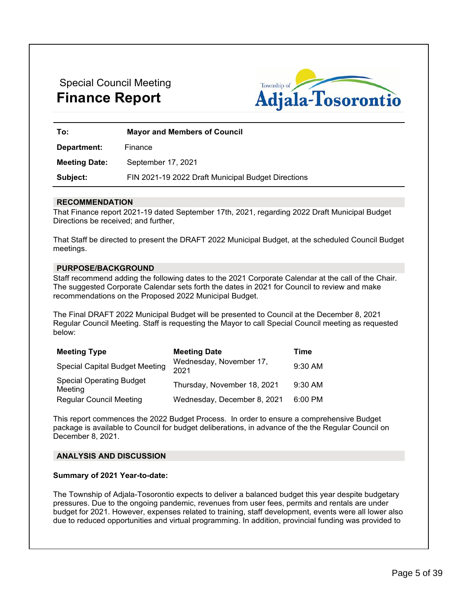# Special Council Meeting **Finance Report**



| To:                  | <b>Mayor and Members of Council</b>                |  |
|----------------------|----------------------------------------------------|--|
| Department:          | Finance                                            |  |
| <b>Meeting Date:</b> | September 17, 2021                                 |  |
| Subject:             | FIN 2021-19 2022 Draft Municipal Budget Directions |  |

# **RECOMMENDATION**

That Finance report 2021-19 dated September 17th, 2021, regarding 2022 Draft Municipal Budget Directions be received; and further,

That Staff be directed to present the DRAFT 2022 Municipal Budget, at the scheduled Council Budget meetings.

# **PURPOSE/BACKGROUND**

Staff recommend adding the following dates to the 2021 Corporate Calendar at the call of the Chair. The suggested Corporate Calendar sets forth the dates in 2021 for Council to review and make recommendations on the Proposed 2022 Municipal Budget.

The Final DRAFT 2022 Municipal Budget will be presented to Council at the December 8, 2021 Regular Council Meeting. Staff is requesting the Mayor to call Special Council meeting as requested below:

| <b>Meeting Type</b>                        | <b>Meeting Date</b>             | Time      |
|--------------------------------------------|---------------------------------|-----------|
| <b>Special Capital Budget Meeting</b>      | Wednesday, November 17,<br>2021 | 9:30 AM   |
| <b>Special Operating Budget</b><br>Meeting | Thursday, November 18, 2021     | $9:30$ AM |
| <b>Regular Council Meeting</b>             | Wednesday, December 8, 2021     | 6:00 PM   |

This report commences the 2022 Budget Process. In order to ensure a comprehensive Budget package is available to Council for budget deliberations, in advance of the the Regular Council on December 8, 2021.

#### **ANALYSIS AND DISCUSSION**

#### **Summary of 2021 Year-to-date:**

The Township of Adjala-Tosorontio expects to deliver a balanced budget this year despite budgetary pressures. Due to the ongoing pandemic, revenues from user fees, permits and rentals are under budget for 2021. However, expenses related to training, staff development, events were all lower also due to reduced opportunities and virtual programming. In addition, provincial funding was provided to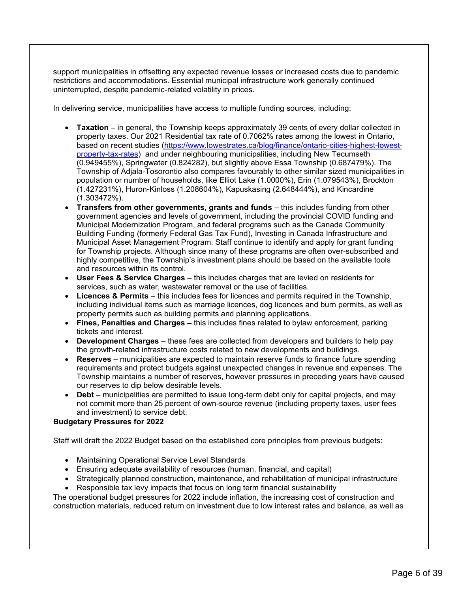support municipalities in offsetting any expected revenue losses or increased costs due to pandemic restrictions and accommodations. Essential municipal infrastructure work generally continued uninterrupted, despite pandemic-related volatility in prices.

In delivering service, municipalities have access to multiple funding sources, including:

- **Taxation** in general, the Township keeps approximately 39 cents of every dollar collected in property taxes. Our 2021 Residential tax rate of 0.7062% rates among the lowest in Ontario, based on recent studies [\(https://www.lowestrates.ca/blog/finance/ontario-cities-highest-lowest](https://www.lowestrates.ca/blog/finance/ontario-cities-highest-lowest-property-tax-rates)[property-tax-rates\)](https://www.lowestrates.ca/blog/finance/ontario-cities-highest-lowest-property-tax-rates) and under neighbouring municipalities, including New Tecumseth (0.949455%), Springwater (0.824282), but slightly above Essa Township (0.687479%). The Township of Adjala-Tosorontio also compares favourably to other similar sized municipalities in population or number of households, like Elliot Lake (1.0000%), Erin (1.079543%), Brockton (1.427231%), Huron-Kinloss (1.208604%), Kapuskasing (2.648444%), and Kincardine (1.303472%).
- **Transfers from other governments, grants and funds** this includes funding from other government agencies and levels of government, including the provincial COVID funding and Municipal Modernization Program, and federal programs such as the Canada Community Building Funding (formerly Federal Gas Tax Fund), Investing in Canada Infrastructure and Municipal Asset Management Program. Staff continue to identify and apply for grant funding for Township projects. Although since many of these programs are often over-subscribed and highly competitive, the Township's investment plans should be based on the available tools and resources within its control.
- **User Fees & Service Charges** this includes charges that are levied on residents for services, such as water, wastewater removal or the use of facilities.
- **Licences & Permits** this includes fees for licences and permits required in the Township, including individual items such as marriage licences, dog licences and burn permits, as well as property permits such as building permits and planning applications.
- **Fines, Penalties and Charges –** this includes fines related to bylaw enforcement, parking tickets and interest.
- **Development Charges** these fees are collected from developers and builders to help pay the growth-related infrastructure costs related to new developments and buildings.
- **Reserves** municipalities are expected to maintain reserve funds to finance future spending requirements and protect budgets against unexpected changes in revenue and expenses. The Township maintains a number of reserves, however pressures in preceding years have caused our reserves to dip below desirable levels.
- **Debt** municipalities are permitted to issue long-term debt only for capital projects, and may not commit more than 25 percent of own-source revenue (including property taxes, user fees and investment) to service debt.

# **Budgetary Pressures for 2022**

Staff will draft the 2022 Budget based on the established core principles from previous budgets:

- Maintaining Operational Service Level Standards
- Ensuring adequate availability of resources (human, financial, and capital)
- Strategically planned construction, maintenance, and rehabilitation of municipal infrastructure
- Responsible tax levy impacts that focus on long term financial sustainability

The operational budget pressures for 2022 include inflation, the increasing cost of construction and construction materials, reduced return on investment due to low interest rates and balance, as well as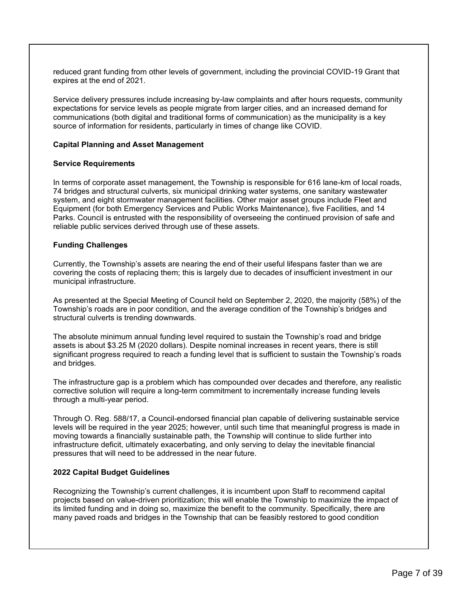reduced grant funding from other levels of government, including the provincial COVID-19 Grant that expires at the end of 2021.

Service delivery pressures include increasing by-law complaints and after hours requests, community expectations for service levels as people migrate from larger cities, and an increased demand for communications (both digital and traditional forms of communication) as the municipality is a key source of information for residents, particularly in times of change like COVID.

# **Capital Planning and Asset Management**

#### **Service Requirements**

In terms of corporate asset management, the Township is responsible for 616 lane-km of local roads, 74 bridges and structural culverts, six municipal drinking water systems, one sanitary wastewater system, and eight stormwater management facilities. Other major asset groups include Fleet and Equipment (for both Emergency Services and Public Works Maintenance), five Facilities, and 14 Parks. Council is entrusted with the responsibility of overseeing the continued provision of safe and reliable public services derived through use of these assets.

#### **Funding Challenges**

Currently, the Township's assets are nearing the end of their useful lifespans faster than we are covering the costs of replacing them; this is largely due to decades of insufficient investment in our municipal infrastructure.

As presented at the Special Meeting of Council held on September 2, 2020, the majority (58%) of the Township's roads are in poor condition, and the average condition of the Township's bridges and structural culverts is trending downwards.

The absolute minimum annual funding level required to sustain the Township's road and bridge assets is about \$3.25 M (2020 dollars). Despite nominal increases in recent years, there is still significant progress required to reach a funding level that is sufficient to sustain the Township's roads and bridges.

The infrastructure gap is a problem which has compounded over decades and therefore, any realistic corrective solution will require a long-term commitment to incrementally increase funding levels through a multi-year period.

Through O. Reg. 588/17, a Council-endorsed financial plan capable of delivering sustainable service levels will be required in the year 2025; however, until such time that meaningful progress is made in moving towards a financially sustainable path, the Township will continue to slide further into infrastructure deficit, ultimately exacerbating, and only serving to delay the inevitable financial pressures that will need to be addressed in the near future.

#### **2022 Capital Budget Guidelines**

Recognizing the Township's current challenges, it is incumbent upon Staff to recommend capital projects based on value-driven prioritization; this will enable the Township to maximize the impact of its limited funding and in doing so, maximize the benefit to the community. Specifically, there are many paved roads and bridges in the Township that can be feasibly restored to good condition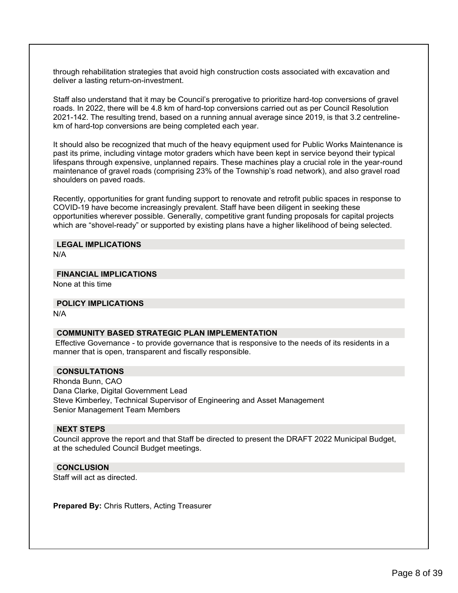through rehabilitation strategies that avoid high construction costs associated with excavation and deliver a lasting return-on-investment.

Staff also understand that it may be Council's prerogative to prioritize hard-top conversions of gravel roads. In 2022, there will be 4.8 km of hard-top conversions carried out as per Council Resolution 2021-142. The resulting trend, based on a running annual average since 2019, is that 3.2 centrelinekm of hard-top conversions are being completed each year.

It should also be recognized that much of the heavy equipment used for Public Works Maintenance is past its prime, including vintage motor graders which have been kept in service beyond their typical lifespans through expensive, unplanned repairs. These machines play a crucial role in the year-round maintenance of gravel roads (comprising 23% of the Township's road network), and also gravel road shoulders on paved roads.

Recently, opportunities for grant funding support to renovate and retrofit public spaces in response to COVID-19 have become increasingly prevalent. Staff have been diligent in seeking these opportunities wherever possible. Generally, competitive grant funding proposals for capital projects which are "shovel-ready" or supported by existing plans have a higher likelihood of being selected.

# **LEGAL IMPLICATIONS**

N/A

### **FINANCIAL IMPLICATIONS**

None at this time

#### **POLICY IMPLICATIONS**

N/A

#### **COMMUNITY BASED STRATEGIC PLAN IMPLEMENTATION**

Effective Governance - to provide governance that is responsive to the needs of its residents in a manner that is open, transparent and fiscally responsible.

# **CONSULTATIONS**

Rhonda Bunn, CAO Dana Clarke, Digital Government Lead Steve Kimberley, Technical Supervisor of Engineering and Asset Management Senior Management Team Members

#### **NEXT STEPS**

Council approve the report and that Staff be directed to present the DRAFT 2022 Municipal Budget, at the scheduled Council Budget meetings.

# **CONCLUSION**

Staff will act as directed.

**Prepared By:** Chris Rutters, Acting Treasurer